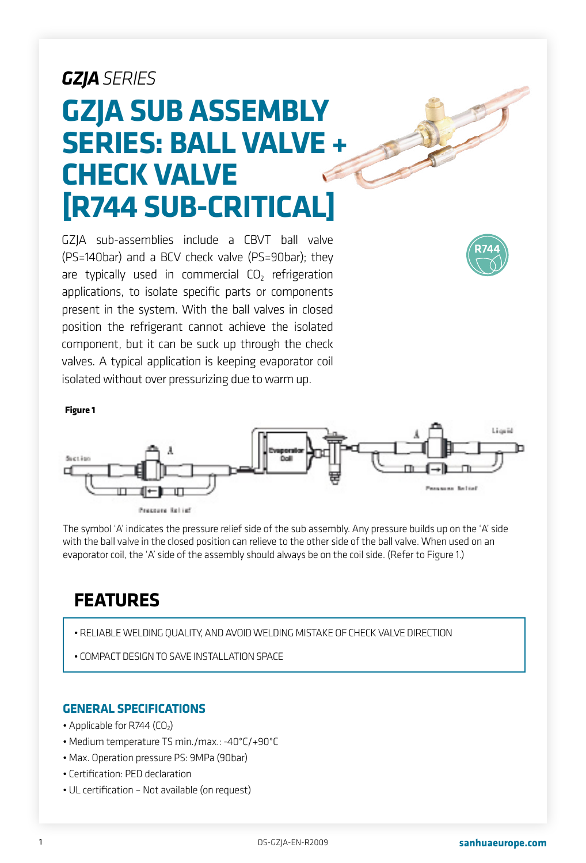# *GZJASERIES* **GZJA SUB ASSEMBLY SERIES: BALL VALVE + CHECK VALVE [R744 SUB-CRITICAL]**

GZJA sub-assemblies include a CBVT ball valve (PS=140bar) and a BCV check valve (PS=90bar); they are typically used in commercial  $CO<sub>2</sub>$  refrigeration applications, to isolate specific parts or components present in the system. With the ball valves in closed position the refrigerant cannot achieve the isolated component, but it can be suck up through the check valves. A typical application is keeping evaporator coil isolated without over pressurizing due to warm up.



**Figure 1**



Pressure Relief

The symbol 'A' indicates the pressure relief side of the sub assembly. Any pressure builds up on the 'A' side with the ball valve in the closed position can relieve to the other side of the ball valve. When used on an evaporator coil, the 'A' side of the assembly should always be on the coil side. (Refer to Figure 1.)

# **FEATURES**

- RELIABLE WELDING QUALITY, AND AVOID WELDING MISTAKE OF CHECK VALVE DIRECTION
- COMPACT DESIGN TO SAVE INSTALLATION SPACE

#### **GENERAL SPECIFICATIONS**

- Applicable for R744  $(CO<sub>2</sub>)$
- Medium temperature TS min./max.: -40°C/+90°C
- Max. Operation pressure PS: 9MPa (90bar)
- Certification: PED declaration
- UL certification Not available (on request)